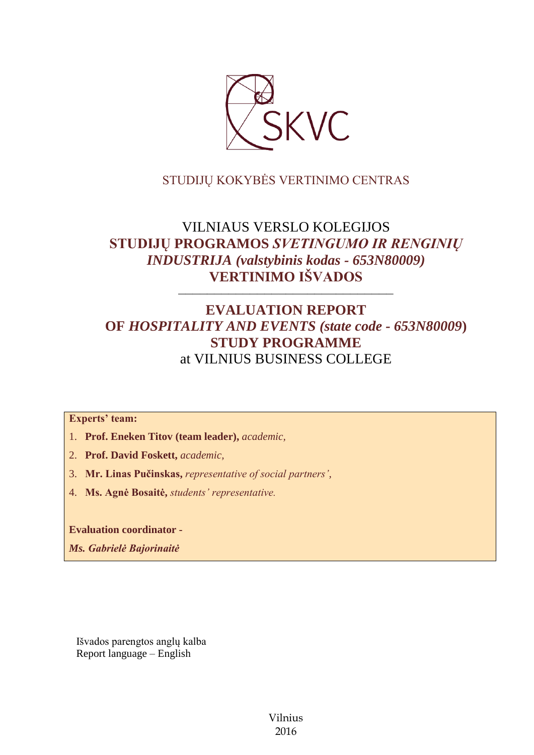

## STUDIJŲ KOKYBĖS VERTINIMO CENTRAS

# VILNIAUS VERSLO KOLEGIJOS **STUDIJŲ PROGRAMOS** *SVETINGUMO IR RENGINIŲ INDUSTRIJA (valstybinis kodas - 653N80009)* **VERTINIMO IŠVADOS**

––––––––––––––––––––––––––––––

# **EVALUATION REPORT OF** *HOSPITALITY AND EVENTS (state code - 653N80009***) STUDY PROGRAMME** at VILNIUS BUSINESS COLLEGE

## **Experts' team:**

- 1. **Prof. Eneken Titov (team leader),** *academic,*
- 2. **Prof. David Foskett,** *academic,*
- 3. **Mr. Linas Pučinskas,** *representative of social partners',*
- 4. **Ms. Agnė Bosaitė,** *students' representative.*

**Evaluation coordinator -**

*Ms. Gabrielė Bajorinaitė*

Išvados parengtos anglų kalba Report language – English

> Vilnius 2016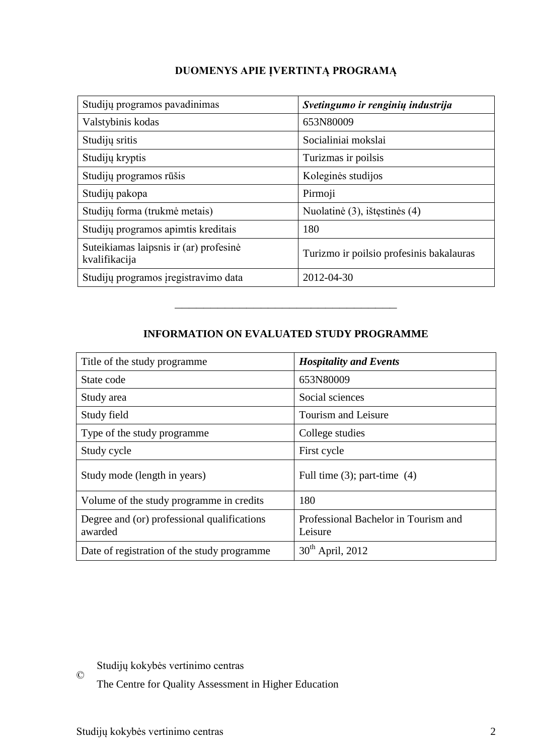| Studijų programos pavadinimas                           | Svetingumo ir renginių industrija        |
|---------------------------------------------------------|------------------------------------------|
| Valstybinis kodas                                       | 653N80009                                |
| Studijų sritis                                          | Socialiniai mokslai                      |
| Studijų kryptis                                         | Turizmas ir poilsis                      |
| Studijų programos rūšis                                 | Koleginės studijos                       |
| Studijų pakopa                                          | Pirmoji                                  |
| Studijų forma (trukmė metais)                           | Nuolatinė (3), ištęstinės (4)            |
| Studijų programos apimtis kreditais                     | 180                                      |
| Suteikiamas laipsnis ir (ar) profesinė<br>kvalifikacija | Turizmo ir poilsio profesinis bakalauras |
| Studijų programos įregistravimo data                    | 2012-04-30                               |

## **INFORMATION ON EVALUATED STUDY PROGRAMME**

–––––––––––––––––––––––––––––––

| Title of the study programme                           | <b>Hospitality and Events</b>                   |
|--------------------------------------------------------|-------------------------------------------------|
| State code                                             | 653N80009                                       |
| Study area                                             | Social sciences                                 |
| Study field                                            | Tourism and Leisure                             |
| Type of the study programme                            | College studies                                 |
| Study cycle                                            | First cycle                                     |
| Study mode (length in years)                           | Full time $(3)$ ; part-time $(4)$               |
| Volume of the study programme in credits               | 180                                             |
| Degree and (or) professional qualifications<br>awarded | Professional Bachelor in Tourism and<br>Leisure |
| Date of registration of the study programme            | $30th$ April, 2012                              |

© Studijų kokybės vertinimo centras

The Centre for Quality Assessment in Higher Education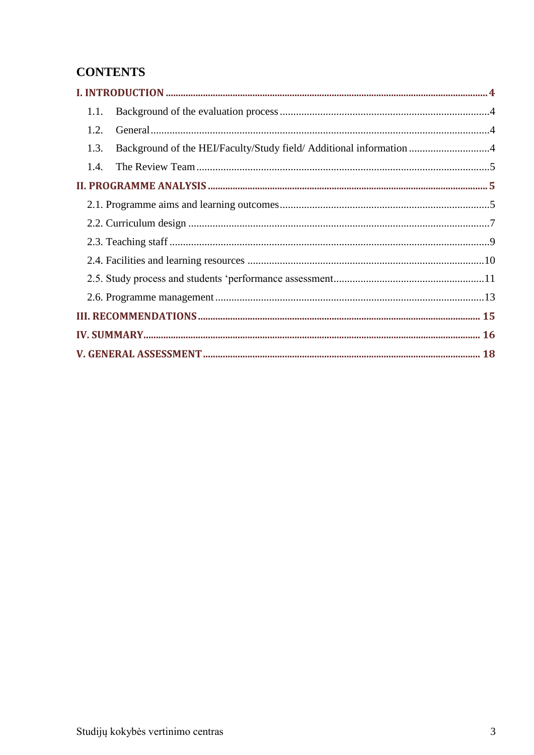# **CONTENTS**

| 1.1.                                                                        |  |
|-----------------------------------------------------------------------------|--|
| 1.2.                                                                        |  |
| Background of the HEI/Faculty/Study field/ Additional information 4<br>1.3. |  |
|                                                                             |  |
|                                                                             |  |
|                                                                             |  |
|                                                                             |  |
|                                                                             |  |
|                                                                             |  |
|                                                                             |  |
|                                                                             |  |
|                                                                             |  |
|                                                                             |  |
|                                                                             |  |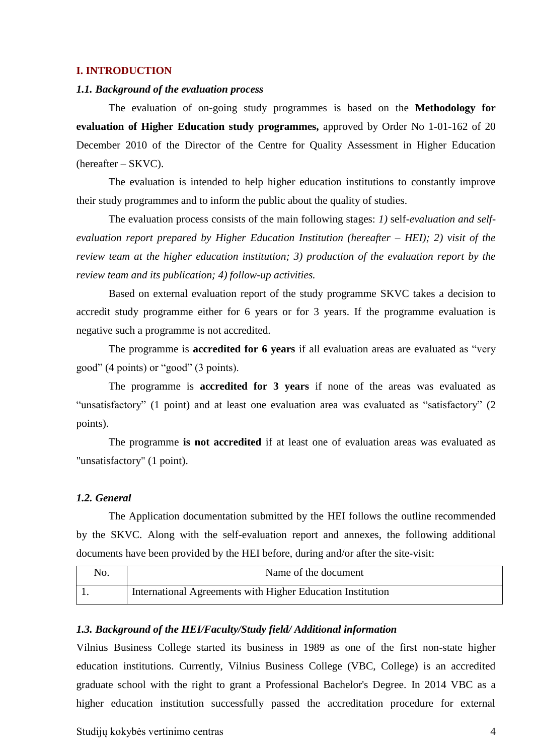#### <span id="page-3-0"></span>**I. INTRODUCTION**

#### <span id="page-3-1"></span>*1.1. Background of the evaluation process*

The evaluation of on-going study programmes is based on the **Methodology for evaluation of Higher Education study programmes,** approved by Order No 1-01-162 of 20 December 2010 of the Director of the Centre for Quality Assessment in Higher Education (hereafter – SKVC).

The evaluation is intended to help higher education institutions to constantly improve their study programmes and to inform the public about the quality of studies.

The evaluation process consists of the main following stages: *1)* self*-evaluation and selfevaluation report prepared by Higher Education Institution (hereafter – HEI); 2) visit of the review team at the higher education institution; 3) production of the evaluation report by the review team and its publication; 4) follow-up activities.* 

Based on external evaluation report of the study programme SKVC takes a decision to accredit study programme either for 6 years or for 3 years. If the programme evaluation is negative such a programme is not accredited.

The programme is **accredited for 6 years** if all evaluation areas are evaluated as "very good" (4 points) or "good" (3 points).

The programme is **accredited for 3 years** if none of the areas was evaluated as "unsatisfactory" (1 point) and at least one evaluation area was evaluated as "satisfactory" (2 points).

The programme **is not accredited** if at least one of evaluation areas was evaluated as "unsatisfactory" (1 point).

#### <span id="page-3-2"></span>*1.2. General*

The Application documentation submitted by the HEI follows the outline recommended by the SKVC. Along with the self-evaluation report and annexes, the following additional documents have been provided by the HEI before, during and/or after the site-visit:

| No. | Name of the document                                       |
|-----|------------------------------------------------------------|
|     | International Agreements with Higher Education Institution |

#### <span id="page-3-3"></span>*1.3. Background of the HEI/Faculty/Study field/ Additional information*

Vilnius Business College started its business in 1989 as one of the first non-state higher education institutions. Currently, Vilnius Business College (VBC, College) is an accredited graduate school with the right to grant a Professional Bachelor's Degree. In 2014 VBC as a higher education institution successfully passed the accreditation procedure for external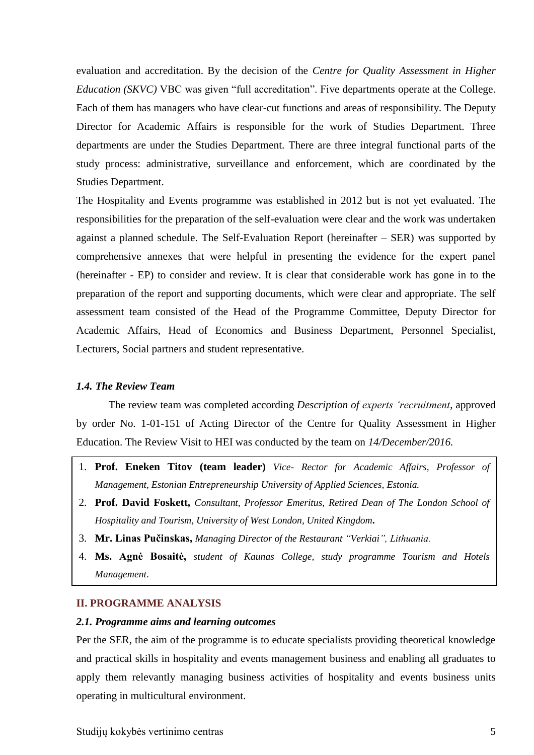evaluation and accreditation. By the decision of the *Centre for Quality Assessment in Higher Education (SKVC)* VBC was given "full accreditation". Five departments operate at the College. Each of them has managers who have clear-cut functions and areas of responsibility. The Deputy Director for Academic Affairs is responsible for the work of Studies Department. Three departments are under the Studies Department. There are three integral functional parts of the study process: administrative, surveillance and enforcement, which are coordinated by the Studies Department.

The Hospitality and Events programme was established in 2012 but is not yet evaluated. The responsibilities for the preparation of the self-evaluation were clear and the work was undertaken against a planned schedule. The Self-Evaluation Report (hereinafter – SER) was supported by comprehensive annexes that were helpful in presenting the evidence for the expert panel (hereinafter - EP) to consider and review. It is clear that considerable work has gone in to the preparation of the report and supporting documents, which were clear and appropriate. The self assessment team consisted of the Head of the Programme Committee, Deputy Director for Academic Affairs, Head of Economics and Business Department, Personnel Specialist, Lecturers, Social partners and student representative.

#### <span id="page-4-0"></span>*1.4. The Review Team*

The review team was completed according *Description of experts 'recruitment*, approved by order No. 1-01-151 of Acting Director of the Centre for Quality Assessment in Higher Education. The Review Visit to HEI was conducted by the team on *14/December/2016.*

- 1. **Prof. Eneken Titov (team leader)** *Vice- Rector for Academic Affairs, Professor of Management, Estonian Entrepreneurship University of Applied Sciences, Estonia.*
- 2. **Prof. David Foskett,** *Consultant, Professor Emeritus, Retired Dean of The London School of Hospitality and Tourism, University of West London, United Kingdom***.**
- 3. **Mr. Linas Pučinskas,** *Managing Director of the Restaurant "Verkiai", Lithuania.*
- 4. **Ms. Agnė Bosaitė,** *student of Kaunas College, study programme Tourism and Hotels Management*.

### <span id="page-4-1"></span>**II. PROGRAMME ANALYSIS**

#### <span id="page-4-2"></span>*2.1. Programme aims and learning outcomes*

Per the SER, the aim of the programme is to educate specialists providing theoretical knowledge and practical skills in hospitality and events management business and enabling all graduates to apply them relevantly managing business activities of hospitality and events business units operating in multicultural environment.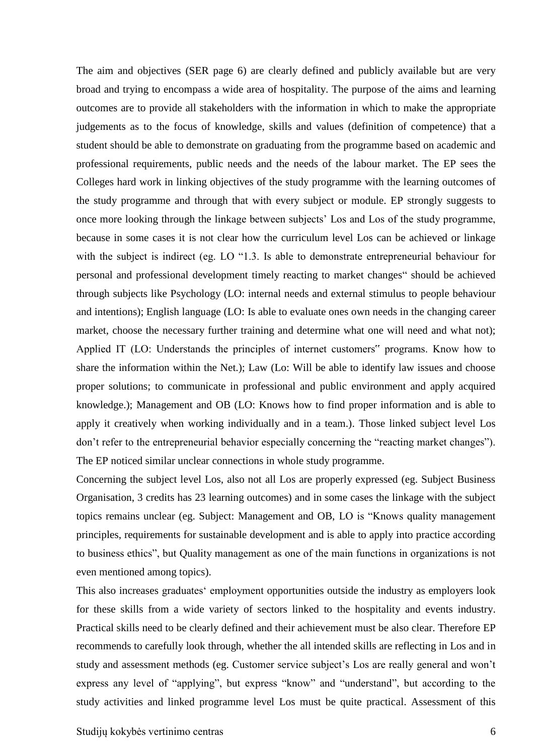The aim and objectives (SER page 6) are clearly defined and publicly available but are very broad and trying to encompass a wide area of hospitality. The purpose of the aims and learning outcomes are to provide all stakeholders with the information in which to make the appropriate judgements as to the focus of knowledge, skills and values (definition of competence) that a student should be able to demonstrate on graduating from the programme based on academic and professional requirements, public needs and the needs of the labour market. The EP sees the Colleges hard work in linking objectives of the study programme with the learning outcomes of the study programme and through that with every subject or module. EP strongly suggests to once more looking through the linkage between subjects' Los and Los of the study programme, because in some cases it is not clear how the curriculum level Los can be achieved or linkage with the subject is indirect (eg. LO "1.3. Is able to demonstrate entrepreneurial behaviour for personal and professional development timely reacting to market changes" should be achieved through subjects like Psychology (LO: internal needs and external stimulus to people behaviour and intentions); English language (LO: Is able to evaluate ones own needs in the changing career market, choose the necessary further training and determine what one will need and what not); Applied IT (LO: Understands the principles of internet customers" programs. Know how to share the information within the Net.); Law (Lo: Will be able to identify law issues and choose proper solutions; to communicate in professional and public environment and apply acquired knowledge.); Management and OB (LO: Knows how to find proper information and is able to apply it creatively when working individually and in a team.). Those linked subject level Los don't refer to the entrepreneurial behavior especially concerning the "reacting market changes"). The EP noticed similar unclear connections in whole study programme.

Concerning the subject level Los, also not all Los are properly expressed (eg. Subject Business Organisation, 3 credits has 23 learning outcomes) and in some cases the linkage with the subject topics remains unclear (eg. Subject: Management and OB, LO is "Knows quality management principles, requirements for sustainable development and is able to apply into practice according to business ethics", but Quality management as one of the main functions in organizations is not even mentioned among topics).

This also increases graduates' employment opportunities outside the industry as employers look for these skills from a wide variety of sectors linked to the hospitality and events industry. Practical skills need to be clearly defined and their achievement must be also clear. Therefore EP recommends to carefully look through, whether the all intended skills are reflecting in Los and in study and assessment methods (eg. Customer service subject's Los are really general and won't express any level of "applying", but express "know" and "understand", but according to the study activities and linked programme level Los must be quite practical. Assessment of this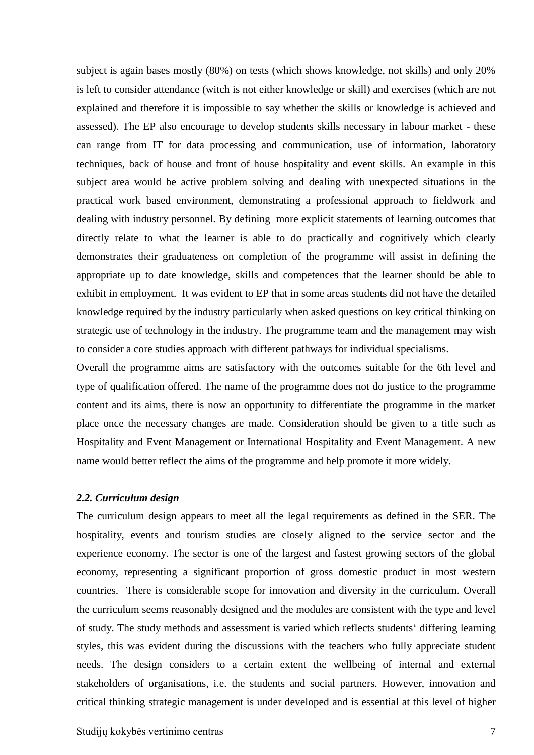subject is again bases mostly (80%) on tests (which shows knowledge, not skills) and only 20% is left to consider attendance (witch is not either knowledge or skill) and exercises (which are not explained and therefore it is impossible to say whether the skills or knowledge is achieved and assessed). The EP also encourage to develop students skills necessary in labour market - these can range from IT for data processing and communication, use of information, laboratory techniques, back of house and front of house hospitality and event skills. An example in this subject area would be active problem solving and dealing with unexpected situations in the practical work based environment, demonstrating a professional approach to fieldwork and dealing with industry personnel. By defining more explicit statements of learning outcomes that directly relate to what the learner is able to do practically and cognitively which clearly demonstrates their graduateness on completion of the programme will assist in defining the appropriate up to date knowledge, skills and competences that the learner should be able to exhibit in employment. It was evident to EP that in some areas students did not have the detailed knowledge required by the industry particularly when asked questions on key critical thinking on strategic use of technology in the industry. The programme team and the management may wish to consider a core studies approach with different pathways for individual specialisms.

Overall the programme aims are satisfactory with the outcomes suitable for the 6th level and type of qualification offered. The name of the programme does not do justice to the programme content and its aims, there is now an opportunity to differentiate the programme in the market place once the necessary changes are made. Consideration should be given to a title such as Hospitality and Event Management or International Hospitality and Event Management. A new name would better reflect the aims of the programme and help promote it more widely.

#### <span id="page-6-0"></span>*2.2. Curriculum design*

The curriculum design appears to meet all the legal requirements as defined in the SER. The hospitality, events and tourism studies are closely aligned to the service sector and the experience economy. The sector is one of the largest and fastest growing sectors of the global economy, representing a significant proportion of gross domestic product in most western countries. There is considerable scope for innovation and diversity in the curriculum. Overall the curriculum seems reasonably designed and the modules are consistent with the type and level of study. The study methods and assessment is varied which reflects students' differing learning styles, this was evident during the discussions with the teachers who fully appreciate student needs. The design considers to a certain extent the wellbeing of internal and external stakeholders of organisations, i.e. the students and social partners. However, innovation and critical thinking strategic management is under developed and is essential at this level of higher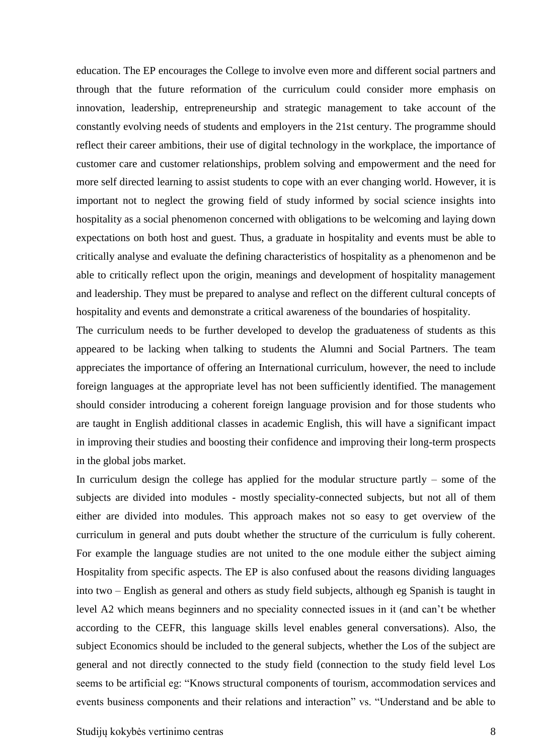education. The EP encourages the College to involve even more and different social partners and through that the future reformation of the curriculum could consider more emphasis on innovation, leadership, entrepreneurship and strategic management to take account of the constantly evolving needs of students and employers in the 21st century. The programme should reflect their career ambitions, their use of digital technology in the workplace, the importance of customer care and customer relationships, problem solving and empowerment and the need for more self directed learning to assist students to cope with an ever changing world. However, it is important not to neglect the growing field of study informed by social science insights into hospitality as a social phenomenon concerned with obligations to be welcoming and laying down expectations on both host and guest. Thus, a graduate in hospitality and events must be able to critically analyse and evaluate the defining characteristics of hospitality as a phenomenon and be able to critically reflect upon the origin, meanings and development of hospitality management and leadership. They must be prepared to analyse and reflect on the different cultural concepts of hospitality and events and demonstrate a critical awareness of the boundaries of hospitality.

The curriculum needs to be further developed to develop the graduateness of students as this appeared to be lacking when talking to students the Alumni and Social Partners. The team appreciates the importance of offering an International curriculum, however, the need to include foreign languages at the appropriate level has not been sufficiently identified. The management should consider introducing a coherent foreign language provision and for those students who are taught in English additional classes in academic English, this will have a significant impact in improving their studies and boosting their confidence and improving their long-term prospects in the global jobs market.

In curriculum design the college has applied for the modular structure partly – some of the subjects are divided into modules - mostly speciality-connected subjects, but not all of them either are divided into modules. This approach makes not so easy to get overview of the curriculum in general and puts doubt whether the structure of the curriculum is fully coherent. For example the language studies are not united to the one module either the subject aiming Hospitality from specific aspects. The EP is also confused about the reasons dividing languages into two – English as general and others as study field subjects, although eg Spanish is taught in level A2 which means beginners and no speciality connected issues in it (and can't be whether according to the CEFR, this language skills level enables general conversations). Also, the subject Economics should be included to the general subjects, whether the Los of the subject are general and not directly connected to the study field (connection to the study field level Los seems to be artificial eg: "Knows structural components of tourism, accommodation services and events business components and their relations and interaction" vs. "Understand and be able to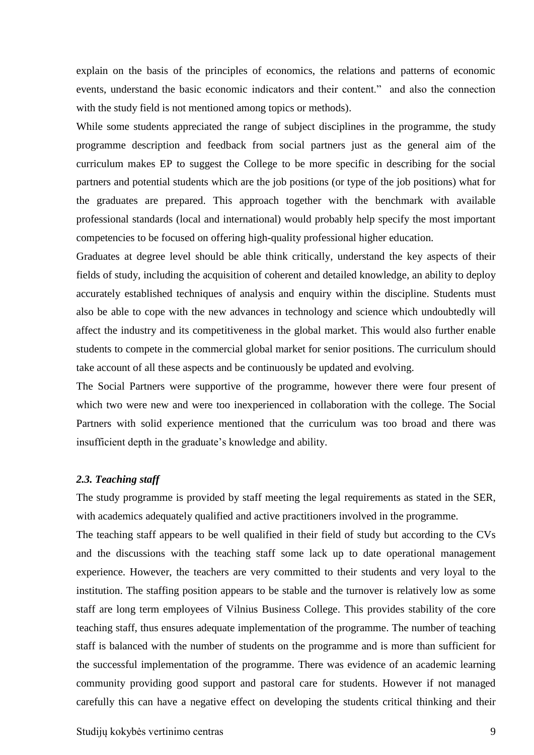explain on the basis of the principles of economics, the relations and patterns of economic events, understand the basic economic indicators and their content." and also the connection with the study field is not mentioned among topics or methods).

While some students appreciated the range of subject disciplines in the programme, the study programme description and feedback from social partners just as the general aim of the curriculum makes EP to suggest the College to be more specific in describing for the social partners and potential students which are the job positions (or type of the job positions) what for the graduates are prepared. This approach together with the benchmark with available professional standards (local and international) would probably help specify the most important competencies to be focused on offering high-quality professional higher education.

Graduates at degree level should be able think critically, understand the key aspects of their fields of study, including the acquisition of coherent and detailed knowledge, an ability to deploy accurately established techniques of analysis and enquiry within the discipline. Students must also be able to cope with the new advances in technology and science which undoubtedly will affect the industry and its competitiveness in the global market. This would also further enable students to compete in the commercial global market for senior positions. The curriculum should take account of all these aspects and be continuously be updated and evolving.

The Social Partners were supportive of the programme, however there were four present of which two were new and were too inexperienced in collaboration with the college. The Social Partners with solid experience mentioned that the curriculum was too broad and there was insufficient depth in the graduate's knowledge and ability.

#### <span id="page-8-0"></span>*2.3. Teaching staff*

The study programme is provided by staff meeting the legal requirements as stated in the SER, with academics adequately qualified and active practitioners involved in the programme.

The teaching staff appears to be well qualified in their field of study but according to the CVs and the discussions with the teaching staff some lack up to date operational management experience. However, the teachers are very committed to their students and very loyal to the institution. The staffing position appears to be stable and the turnover is relatively low as some staff are long term employees of Vilnius Business College. This provides stability of the core teaching staff, thus ensures adequate implementation of the programme. The number of teaching staff is balanced with the number of students on the programme and is more than sufficient for the successful implementation of the programme. There was evidence of an academic learning community providing good support and pastoral care for students. However if not managed carefully this can have a negative effect on developing the students critical thinking and their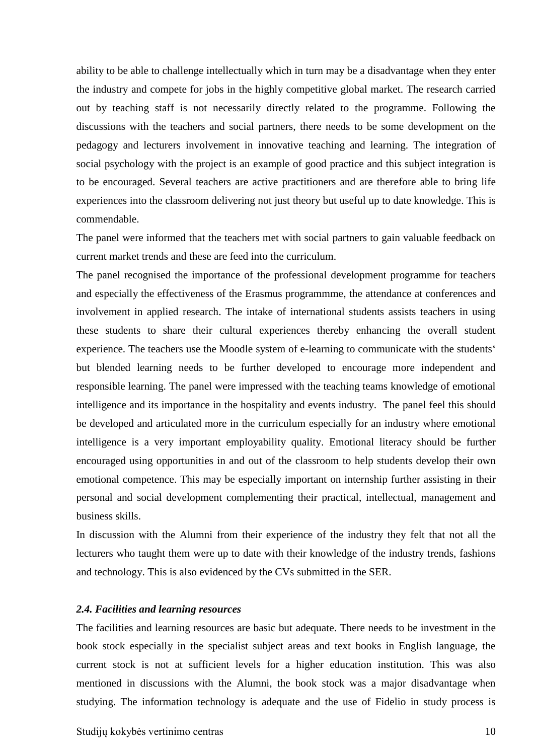ability to be able to challenge intellectually which in turn may be a disadvantage when they enter the industry and compete for jobs in the highly competitive global market. The research carried out by teaching staff is not necessarily directly related to the programme. Following the discussions with the teachers and social partners, there needs to be some development on the pedagogy and lecturers involvement in innovative teaching and learning. The integration of social psychology with the project is an example of good practice and this subject integration is to be encouraged. Several teachers are active practitioners and are therefore able to bring life experiences into the classroom delivering not just theory but useful up to date knowledge. This is commendable.

The panel were informed that the teachers met with social partners to gain valuable feedback on current market trends and these are feed into the curriculum.

The panel recognised the importance of the professional development programme for teachers and especially the effectiveness of the Erasmus programmme, the attendance at conferences and involvement in applied research. The intake of international students assists teachers in using these students to share their cultural experiences thereby enhancing the overall student experience. The teachers use the Moodle system of e-learning to communicate with the students' but blended learning needs to be further developed to encourage more independent and responsible learning. The panel were impressed with the teaching teams knowledge of emotional intelligence and its importance in the hospitality and events industry. The panel feel this should be developed and articulated more in the curriculum especially for an industry where emotional intelligence is a very important employability quality. Emotional literacy should be further encouraged using opportunities in and out of the classroom to help students develop their own emotional competence. This may be especially important on internship further assisting in their personal and social development complementing their practical, intellectual, management and business skills.

In discussion with the Alumni from their experience of the industry they felt that not all the lecturers who taught them were up to date with their knowledge of the industry trends, fashions and technology. This is also evidenced by the CVs submitted in the SER.

#### <span id="page-9-0"></span>*2.4. Facilities and learning resources*

The facilities and learning resources are basic but adequate. There needs to be investment in the book stock especially in the specialist subject areas and text books in English language, the current stock is not at sufficient levels for a higher education institution. This was also mentioned in discussions with the Alumni, the book stock was a major disadvantage when studying. The information technology is adequate and the use of Fidelio in study process is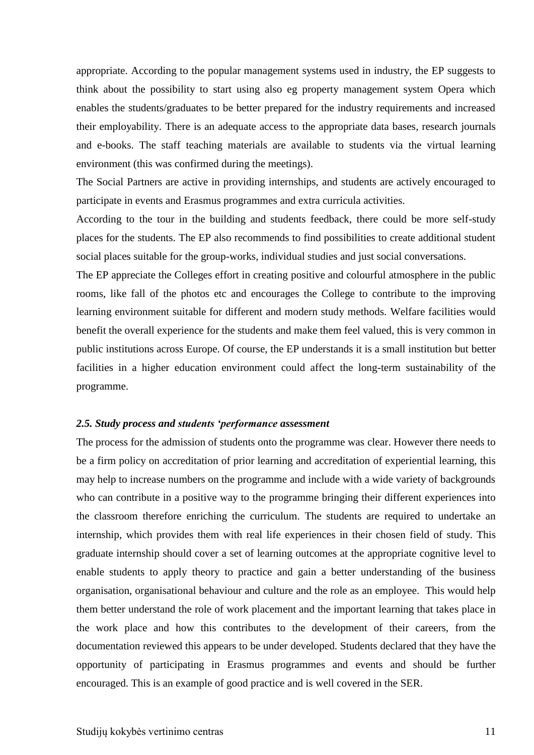appropriate. According to the popular management systems used in industry, the EP suggests to think about the possibility to start using also eg property management system Opera which enables the students/graduates to be better prepared for the industry requirements and increased their employability. There is an adequate access to the appropriate data bases, research journals and e-books. The staff teaching materials are available to students via the virtual learning environment (this was confirmed during the meetings).

The Social Partners are active in providing internships, and students are actively encouraged to participate in events and Erasmus programmes and extra curricula activities.

According to the tour in the building and students feedback, there could be more self-study places for the students. The EP also recommends to find possibilities to create additional student social places suitable for the group-works, individual studies and just social conversations.

The EP appreciate the Colleges effort in creating positive and colourful atmosphere in the public rooms, like fall of the photos etc and encourages the College to contribute to the improving learning environment suitable for different and modern study methods. Welfare facilities would benefit the overall experience for the students and make them feel valued, this is very common in public institutions across Europe. Of course, the EP understands it is a small institution but better facilities in a higher education environment could affect the long-term sustainability of the programme.

#### <span id="page-10-0"></span>*2.5. Study process and students 'performance assessment*

The process for the admission of students onto the programme was clear. However there needs to be a firm policy on accreditation of prior learning and accreditation of experiential learning, this may help to increase numbers on the programme and include with a wide variety of backgrounds who can contribute in a positive way to the programme bringing their different experiences into the classroom therefore enriching the curriculum. The students are required to undertake an internship, which provides them with real life experiences in their chosen field of study. This graduate internship should cover a set of learning outcomes at the appropriate cognitive level to enable students to apply theory to practice and gain a better understanding of the business organisation, organisational behaviour and culture and the role as an employee. This would help them better understand the role of work placement and the important learning that takes place in the work place and how this contributes to the development of their careers, from the documentation reviewed this appears to be under developed. Students declared that they have the opportunity of participating in Erasmus programmes and events and should be further encouraged. This is an example of good practice and is well covered in the SER.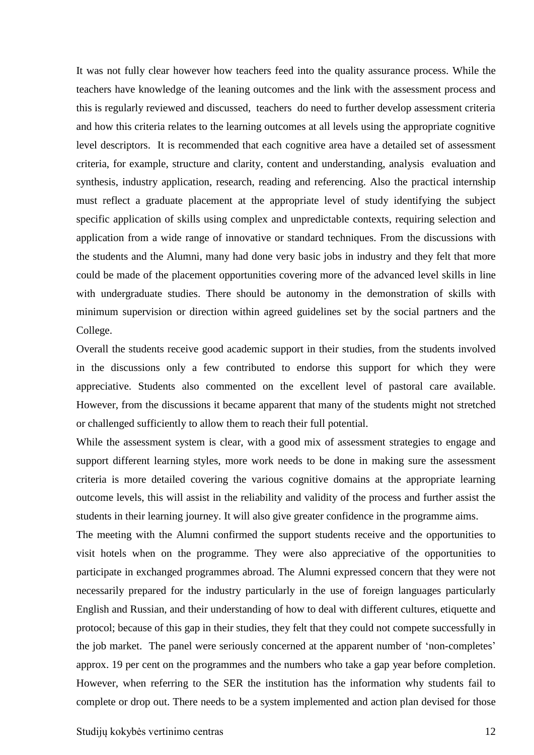It was not fully clear however how teachers feed into the quality assurance process. While the teachers have knowledge of the leaning outcomes and the link with the assessment process and this is regularly reviewed and discussed, teachers do need to further develop assessment criteria and how this criteria relates to the learning outcomes at all levels using the appropriate cognitive level descriptors. It is recommended that each cognitive area have a detailed set of assessment criteria, for example, structure and clarity, content and understanding, analysis evaluation and synthesis, industry application, research, reading and referencing. Also the practical internship must reflect a graduate placement at the appropriate level of study identifying the subject specific application of skills using complex and unpredictable contexts, requiring selection and application from a wide range of innovative or standard techniques. From the discussions with the students and the Alumni, many had done very basic jobs in industry and they felt that more could be made of the placement opportunities covering more of the advanced level skills in line with undergraduate studies. There should be autonomy in the demonstration of skills with minimum supervision or direction within agreed guidelines set by the social partners and the College.

Overall the students receive good academic support in their studies, from the students involved in the discussions only a few contributed to endorse this support for which they were appreciative. Students also commented on the excellent level of pastoral care available. However, from the discussions it became apparent that many of the students might not stretched or challenged sufficiently to allow them to reach their full potential.

While the assessment system is clear, with a good mix of assessment strategies to engage and support different learning styles, more work needs to be done in making sure the assessment criteria is more detailed covering the various cognitive domains at the appropriate learning outcome levels, this will assist in the reliability and validity of the process and further assist the students in their learning journey. It will also give greater confidence in the programme aims.

The meeting with the Alumni confirmed the support students receive and the opportunities to visit hotels when on the programme. They were also appreciative of the opportunities to participate in exchanged programmes abroad. The Alumni expressed concern that they were not necessarily prepared for the industry particularly in the use of foreign languages particularly English and Russian, and their understanding of how to deal with different cultures, etiquette and protocol; because of this gap in their studies, they felt that they could not compete successfully in the job market. The panel were seriously concerned at the apparent number of 'non-completes' approx. 19 per cent on the programmes and the numbers who take a gap year before completion. However, when referring to the SER the institution has the information why students fail to complete or drop out. There needs to be a system implemented and action plan devised for those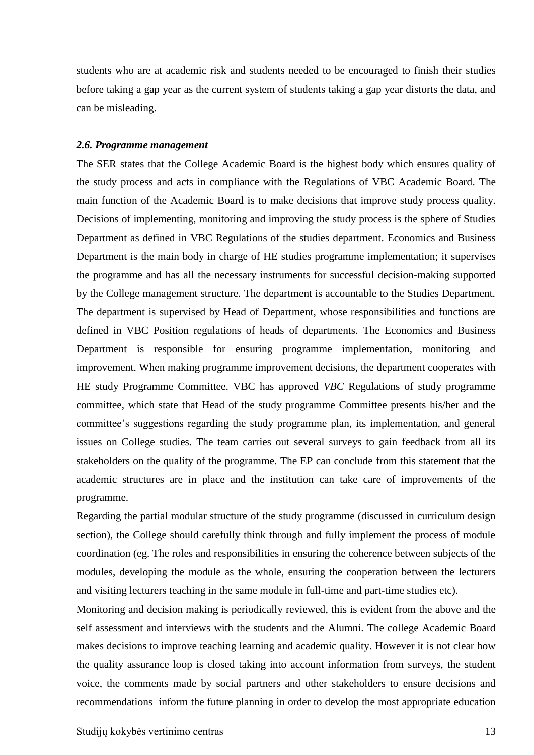students who are at academic risk and students needed to be encouraged to finish their studies before taking a gap year as the current system of students taking a gap year distorts the data, and can be misleading.

#### <span id="page-12-0"></span>*2.6. Programme management*

The SER states that the College Academic Board is the highest body which ensures quality of the study process and acts in compliance with the Regulations of VBC Academic Board. The main function of the Academic Board is to make decisions that improve study process quality. Decisions of implementing, monitoring and improving the study process is the sphere of Studies Department as defined in VBC Regulations of the studies department. Economics and Business Department is the main body in charge of HE studies programme implementation; it supervises the programme and has all the necessary instruments for successful decision-making supported by the College management structure. The department is accountable to the Studies Department. The department is supervised by Head of Department, whose responsibilities and functions are defined in VBC Position regulations of heads of departments*.* The Economics and Business Department is responsible for ensuring programme implementation, monitoring and improvement. When making programme improvement decisions, the department cooperates with HE study Programme Committee. VBC has approved *VBC* Regulations of study programme committee, which state that Head of the study programme Committee presents his/her and the committee's suggestions regarding the study programme plan, its implementation, and general issues on College studies. The team carries out several surveys to gain feedback from all its stakeholders on the quality of the programme. The EP can conclude from this statement that the academic structures are in place and the institution can take care of improvements of the programme.

Regarding the partial modular structure of the study programme (discussed in curriculum design section), the College should carefully think through and fully implement the process of module coordination (eg. The roles and responsibilities in ensuring the coherence between subjects of the modules, developing the module as the whole, ensuring the cooperation between the lecturers and visiting lecturers teaching in the same module in full-time and part-time studies etc).

Monitoring and decision making is periodically reviewed, this is evident from the above and the self assessment and interviews with the students and the Alumni. The college Academic Board makes decisions to improve teaching learning and academic quality. However it is not clear how the quality assurance loop is closed taking into account information from surveys, the student voice, the comments made by social partners and other stakeholders to ensure decisions and recommendations inform the future planning in order to develop the most appropriate education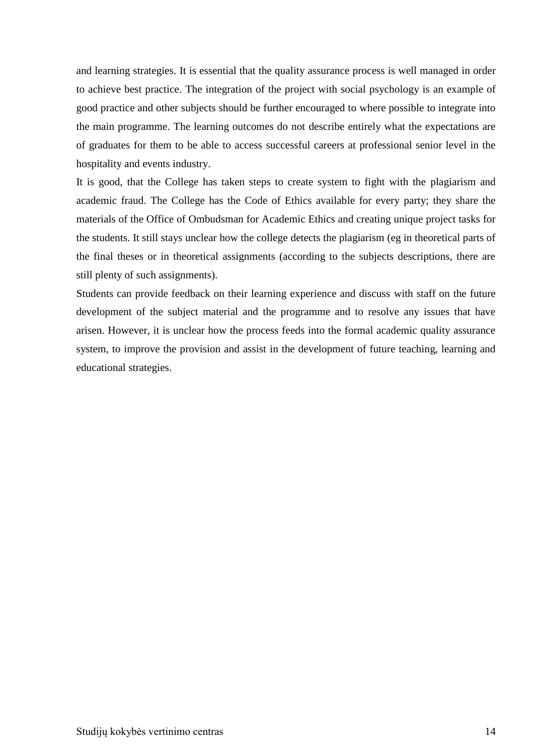and learning strategies. It is essential that the quality assurance process is well managed in order to achieve best practice. The integration of the project with social psychology is an example of good practice and other subjects should be further encouraged to where possible to integrate into the main programme. The learning outcomes do not describe entirely what the expectations are of graduates for them to be able to access successful careers at professional senior level in the hospitality and events industry.

It is good, that the College has taken steps to create system to fight with the plagiarism and academic fraud. The College has the Code of Ethics available for every party; they share the materials of the Office of Ombudsman for Academic Ethics and creating unique project tasks for the students. It still stays unclear how the college detects the plagiarism (eg in theoretical parts of the final theses or in theoretical assignments (according to the subjects descriptions, there are still plenty of such assignments).

Students can provide feedback on their learning experience and discuss with staff on the future development of the subject material and the programme and to resolve any issues that have arisen. However, it is unclear how the process feeds into the formal academic quality assurance system, to improve the provision and assist in the development of future teaching, learning and educational strategies.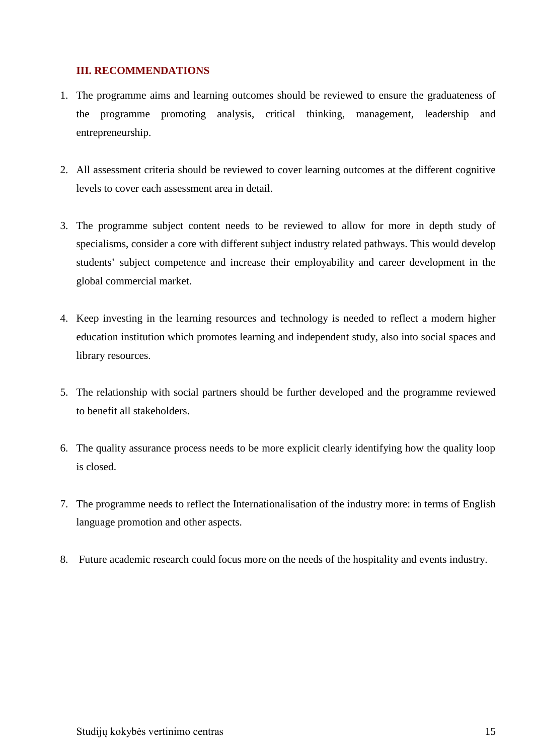### <span id="page-14-0"></span>**III. RECOMMENDATIONS**

- 1. The programme aims and learning outcomes should be reviewed to ensure the graduateness of the programme promoting analysis, critical thinking, management, leadership and entrepreneurship.
- 2. All assessment criteria should be reviewed to cover learning outcomes at the different cognitive levels to cover each assessment area in detail.
- 3. The programme subject content needs to be reviewed to allow for more in depth study of specialisms, consider a core with different subject industry related pathways. This would develop students' subject competence and increase their employability and career development in the global commercial market.
- 4. Keep investing in the learning resources and technology is needed to reflect a modern higher education institution which promotes learning and independent study, also into social spaces and library resources.
- 5. The relationship with social partners should be further developed and the programme reviewed to benefit all stakeholders.
- 6. The quality assurance process needs to be more explicit clearly identifying how the quality loop is closed.
- 7. The programme needs to reflect the Internationalisation of the industry more: in terms of English language promotion and other aspects.
- 8. Future academic research could focus more on the needs of the hospitality and events industry.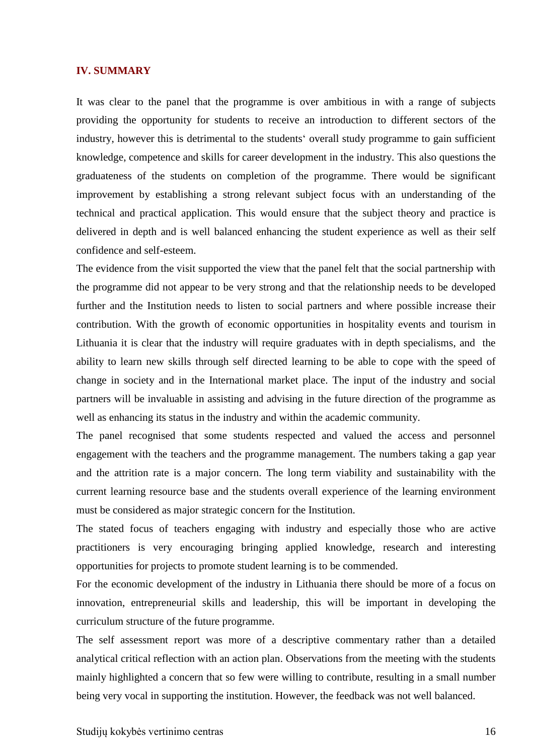#### <span id="page-15-0"></span>**IV. SUMMARY**

It was clear to the panel that the programme is over ambitious in with a range of subjects providing the opportunity for students to receive an introduction to different sectors of the industry, however this is detrimental to the students' overall study programme to gain sufficient knowledge, competence and skills for career development in the industry. This also questions the graduateness of the students on completion of the programme. There would be significant improvement by establishing a strong relevant subject focus with an understanding of the technical and practical application. This would ensure that the subject theory and practice is delivered in depth and is well balanced enhancing the student experience as well as their self confidence and self-esteem.

The evidence from the visit supported the view that the panel felt that the social partnership with the programme did not appear to be very strong and that the relationship needs to be developed further and the Institution needs to listen to social partners and where possible increase their contribution. With the growth of economic opportunities in hospitality events and tourism in Lithuania it is clear that the industry will require graduates with in depth specialisms, and the ability to learn new skills through self directed learning to be able to cope with the speed of change in society and in the International market place. The input of the industry and social partners will be invaluable in assisting and advising in the future direction of the programme as well as enhancing its status in the industry and within the academic community.

The panel recognised that some students respected and valued the access and personnel engagement with the teachers and the programme management. The numbers taking a gap year and the attrition rate is a major concern. The long term viability and sustainability with the current learning resource base and the students overall experience of the learning environment must be considered as major strategic concern for the Institution.

The stated focus of teachers engaging with industry and especially those who are active practitioners is very encouraging bringing applied knowledge, research and interesting opportunities for projects to promote student learning is to be commended.

For the economic development of the industry in Lithuania there should be more of a focus on innovation, entrepreneurial skills and leadership, this will be important in developing the curriculum structure of the future programme.

The self assessment report was more of a descriptive commentary rather than a detailed analytical critical reflection with an action plan. Observations from the meeting with the students mainly highlighted a concern that so few were willing to contribute, resulting in a small number being very vocal in supporting the institution. However, the feedback was not well balanced.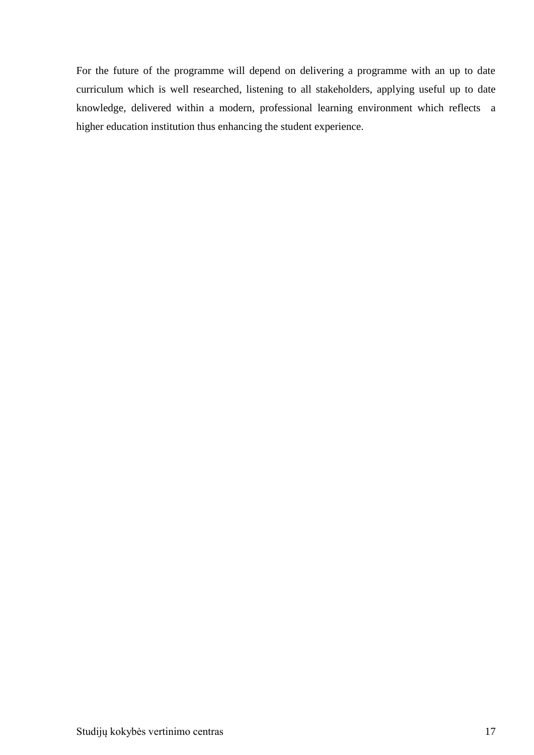For the future of the programme will depend on delivering a programme with an up to date curriculum which is well researched, listening to all stakeholders, applying useful up to date knowledge, delivered within a modern, professional learning environment which reflects a higher education institution thus enhancing the student experience.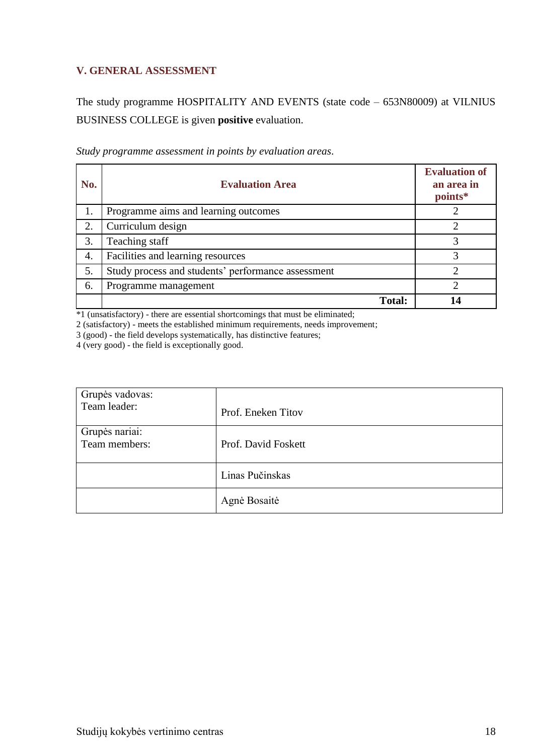## <span id="page-17-0"></span>**V. GENERAL ASSESSMENT**

The study programme HOSPITALITY AND EVENTS (state code – 653N80009) at VILNIUS BUSINESS COLLEGE is given **positive** evaluation.

| No. | <b>Evaluation Area</b>                             | <b>Evaluation of</b><br>an area in<br>points* |
|-----|----------------------------------------------------|-----------------------------------------------|
| 1.  | Programme aims and learning outcomes               |                                               |
| 2.  | Curriculum design                                  |                                               |
| 3.  | Teaching staff                                     | 3                                             |
| 4.  | Facilities and learning resources                  | 3                                             |
| 5.  | Study process and students' performance assessment | ◠                                             |
| 6.  | Programme management                               | ◠                                             |
|     | <b>Total:</b>                                      | 14                                            |

*Study programme assessment in points by evaluation areas*.

\*1 (unsatisfactory) - there are essential shortcomings that must be eliminated;

2 (satisfactory) - meets the established minimum requirements, needs improvement;

3 (good) - the field develops systematically, has distinctive features;

4 (very good) - the field is exceptionally good.

| Grupės vadovas:<br>Team leader: | Prof. Eneken Titov  |
|---------------------------------|---------------------|
| Grupės nariai:<br>Team members: | Prof. David Foskett |
|                                 | Linas Pučinskas     |
|                                 | Agnė Bosaitė        |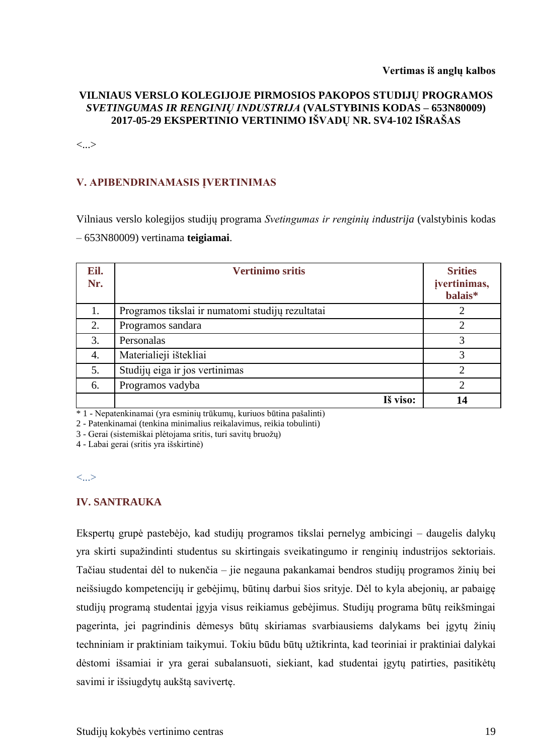#### **Vertimas iš anglų kalbos**

### **VILNIAUS VERSLO KOLEGIJOJE PIRMOSIOS PAKOPOS STUDIJŲ PROGRAMOS**  *SVETINGUMAS IR RENGINIŲ INDUSTRIJA* **(VALSTYBINIS KODAS – 653N80009) 2017-05-29 EKSPERTINIO VERTINIMO IŠVADŲ NR. SV4-102 IŠRAŠAS**

<...>

## **V. APIBENDRINAMASIS ĮVERTINIMAS**

Vilniaus verslo kolegijos studijų programa *Svetingumas ir renginių industrija* (valstybinis kodas – 653N80009) vertinama **teigiamai**.

| Eil.<br>Nr. | <b>Vertinimo sritis</b>                          | <b>Srities</b><br>jvertinimas,<br>balais* |
|-------------|--------------------------------------------------|-------------------------------------------|
| 1.          | Programos tikslai ir numatomi studijų rezultatai | 2                                         |
| 2.          | Programos sandara                                | 2                                         |
| 3.          | Personalas                                       | 3                                         |
| 4.          | Materialieji ištekliai                           | 3                                         |
| 5.          | Studijų eiga ir jos vertinimas                   | $\mathcal{D}_{\mathcal{L}}$               |
| 6.          | Programos vadyba                                 | 2                                         |
|             | Iš viso:                                         | 14                                        |

\* 1 - Nepatenkinamai (yra esminių trūkumų, kuriuos būtina pašalinti)

2 - Patenkinamai (tenkina minimalius reikalavimus, reikia tobulinti)

3 - Gerai (sistemiškai plėtojama sritis, turi savitų bruožų)

4 - Labai gerai (sritis yra išskirtinė)

#### **IV. SANTRAUKA**

Ekspertų grupė pastebėjo, kad studijų programos tikslai pernelyg ambicingi – daugelis dalykų yra skirti supažindinti studentus su skirtingais sveikatingumo ir renginių industrijos sektoriais. Tačiau studentai dėl to nukenčia – jie negauna pakankamai bendros studijų programos žinių bei neišsiugdo kompetencijų ir gebėjimų, būtinų darbui šios srityje. Dėl to kyla abejonių, ar pabaigę studijų programą studentai įgyja visus reikiamus gebėjimus. Studijų programa būtų reikšmingai pagerinta, jei pagrindinis dėmesys būtų skiriamas svarbiausiems dalykams bei įgytų žinių techniniam ir praktiniam taikymui. Tokiu būdu būtų užtikrinta, kad teoriniai ir praktiniai dalykai dėstomi išsamiai ir yra gerai subalansuoti, siekiant, kad studentai įgytų patirties, pasitikėtų savimi ir išsiugdytų aukštą savivertę.

<sup>&</sup>lt;...>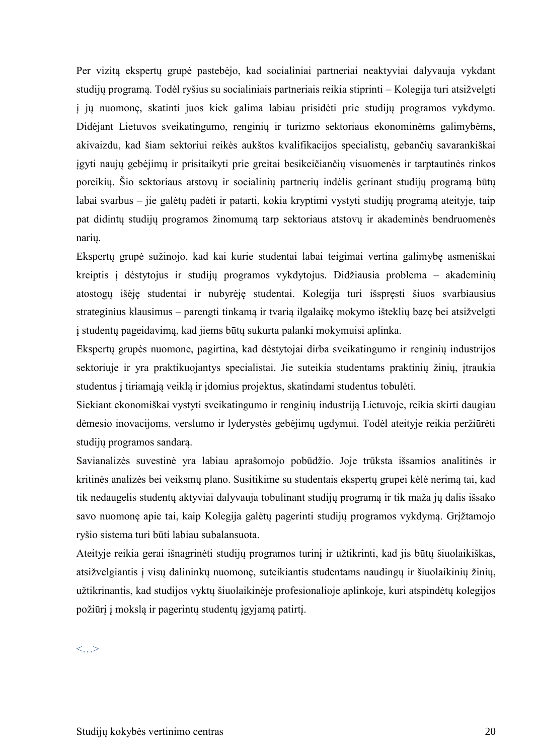Per vizitą ekspertų grupė pastebėjo, kad socialiniai partneriai neaktyviai dalyvauja vykdant studijų programą. Todėl ryšius su socialiniais partneriais reikia stiprinti – Kolegija turi atsižvelgti į jų nuomonę, skatinti juos kiek galima labiau prisidėti prie studijų programos vykdymo. Didėjant Lietuvos sveikatingumo, renginių ir turizmo sektoriaus ekonominėms galimybėms, akivaizdu, kad šiam sektoriui reikės aukštos kvalifikacijos specialistų, gebančių savarankiškai įgyti naujų gebėjimų ir prisitaikyti prie greitai besikeičiančių visuomenės ir tarptautinės rinkos poreikių. Šio sektoriaus atstovų ir socialinių partnerių indėlis gerinant studijų programą būtų labai svarbus – jie galėtų padėti ir patarti, kokia kryptimi vystyti studijų programą ateityje, taip pat didintų studijų programos žinomumą tarp sektoriaus atstovų ir akademinės bendruomenės narių.

Ekspertų grupė sužinojo, kad kai kurie studentai labai teigimai vertina galimybę asmeniškai kreiptis į dėstytojus ir studijų programos vykdytojus. Didžiausia problema – akademinių atostogų išėję studentai ir nubyrėję studentai. Kolegija turi išspręsti šiuos svarbiausius strateginius klausimus – parengti tinkamą ir tvarią ilgalaikę mokymo išteklių bazę bei atsižvelgti į studentų pageidavimą, kad jiems būtų sukurta palanki mokymuisi aplinka.

Ekspertų grupės nuomone, pagirtina, kad dėstytojai dirba sveikatingumo ir renginių industrijos sektoriuje ir yra praktikuojantys specialistai. Jie suteikia studentams praktinių žinių, įtraukia studentus į tiriamąją veiklą ir įdomius projektus, skatindami studentus tobulėti.

Siekiant ekonomiškai vystyti sveikatingumo ir renginių industriją Lietuvoje, reikia skirti daugiau dėmesio inovacijoms, verslumo ir lyderystės gebėjimų ugdymui. Todėl ateityje reikia peržiūrėti studijų programos sandarą.

Savianalizės suvestinė yra labiau aprašomojo pobūdžio. Joje trūksta išsamios analitinės ir kritinės analizės bei veiksmų plano. Susitikime su studentais ekspertų grupei kėlė nerimą tai, kad tik nedaugelis studentų aktyviai dalyvauja tobulinant studijų programą ir tik maža jų dalis išsako savo nuomonę apie tai, kaip Kolegija galėtų pagerinti studijų programos vykdymą. Grįžtamojo ryšio sistema turi būti labiau subalansuota.

Ateityje reikia gerai išnagrinėti studijų programos turinį ir užtikrinti, kad jis būtų šiuolaikiškas, atsižvelgiantis į visų dalininkų nuomonę, suteikiantis studentams naudingų ir šiuolaikinių žinių, užtikrinantis, kad studijos vyktų šiuolaikinėje profesionalioje aplinkoje, kuri atspindėtų kolegijos požiūrį į mokslą ir pagerintų studentų įgyjamą patirtį.

 $\lt$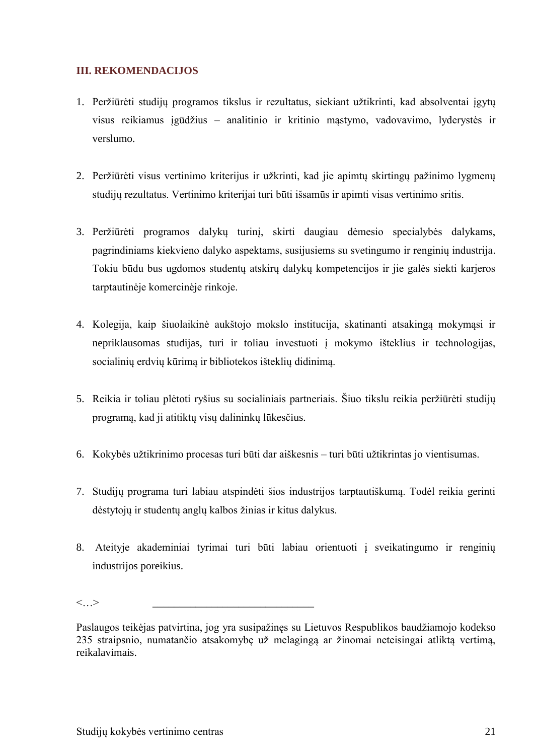## **III. REKOMENDACIJOS**

- 1. Peržiūrėti studijų programos tikslus ir rezultatus, siekiant užtikrinti, kad absolventai įgytų visus reikiamus įgūdžius – analitinio ir kritinio mąstymo, vadovavimo, lyderystės ir verslumo.
- 2. Peržiūrėti visus vertinimo kriterijus ir užkrinti, kad jie apimtų skirtingų pažinimo lygmenų studijų rezultatus. Vertinimo kriterijai turi būti išsamūs ir apimti visas vertinimo sritis.
- 3. Peržiūrėti programos dalykų turinį, skirti daugiau dėmesio specialybės dalykams, pagrindiniams kiekvieno dalyko aspektams, susijusiems su svetingumo ir renginių industrija. Tokiu būdu bus ugdomos studentų atskirų dalykų kompetencijos ir jie galės siekti karjeros tarptautinėje komercinėje rinkoje.
- 4. Kolegija, kaip šiuolaikinė aukštojo mokslo institucija, skatinanti atsakingą mokymąsi ir nepriklausomas studijas, turi ir toliau investuoti į mokymo išteklius ir technologijas, socialinių erdvių kūrimą ir bibliotekos išteklių didinimą.
- 5. Reikia ir toliau plėtoti ryšius su socialiniais partneriais. Šiuo tikslu reikia peržiūrėti studijų programą, kad ji atitiktų visų dalininkų lūkesčius.
- 6. Kokybės užtikrinimo procesas turi būti dar aiškesnis turi būti užtikrintas jo vientisumas.
- 7. Studijų programa turi labiau atspindėti šios industrijos tarptautiškumą. Todėl reikia gerinti dėstytojų ir studentų anglų kalbos žinias ir kitus dalykus.
- 8. Ateityje akademiniai tyrimai turi būti labiau orientuoti į sveikatingumo ir renginių industrijos poreikius.

<…> \_\_\_\_\_\_\_\_\_\_\_\_\_\_\_\_\_\_\_\_\_\_\_\_\_\_\_\_\_\_

Paslaugos teikėjas patvirtina, jog yra susipažinęs su Lietuvos Respublikos baudžiamojo kodekso 235 straipsnio, numatančio atsakomybę už melagingą ar žinomai neteisingai atliktą vertimą, reikalavimais.